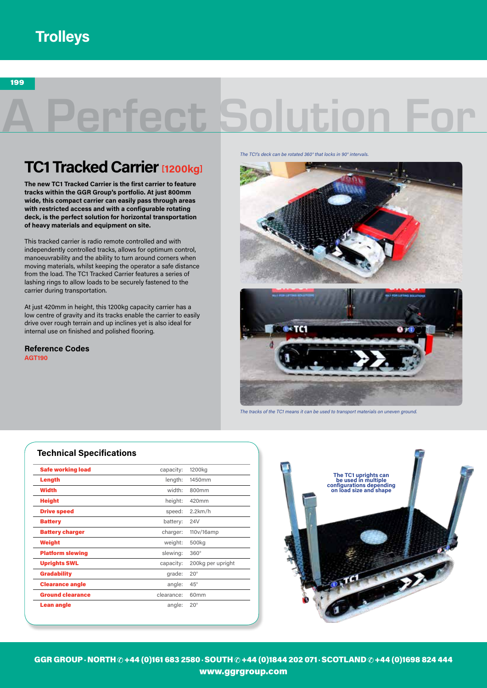## **Trolleys**

199

## A Perfect Solution For

## **TC1 Tracked Carrier [1200kg]**

**The new TC1 Tracked Carrier is the first carrier to feature tracks within the GGR Group's portfolio. At just 800mm wide, this compact carrier can easily pass through areas with restricted access and with a configurable rotating deck, is the perfect solution for horizontal transportation of heavy materials and equipment on site.** 

This tracked carrier is radio remote controlled and with independently controlled tracks, allows for optimum control, manoeuvrability and the ability to turn around corners when moving materials, whilst keeping the operator a safe distance from the load. The TC1 Tracked Carrier features a series of lashing rings to allow loads to be securely fastened to the carrier during transportation.

At just 420mm in height, this 1200kg capacity carrier has a low centre of gravity and its tracks enable the carrier to easily drive over rough terrain and up inclines yet is also ideal for internal use on finished and polished flooring.

**AGT190 Reference Codes** *The TC1's deck can be rotated 360° that locks in 90° intervals.*





*The tracks of the TC1 means it can be used to transport materials on uneven ground.*

## **Technical Specifications**

| <b>Safe working load</b> | capacity:  | 1200kg            |
|--------------------------|------------|-------------------|
| Length                   | length:    | 1450mm            |
| Width                    | width:     | 800 <sub>mm</sub> |
| <b>Height</b>            | height:    | 420mm             |
| <b>Drive speed</b>       | speed:     | 2.2km/h           |
| <b>Battery</b>           | battery:   | 24V               |
| <b>Battery charger</b>   | charger:   | 110v/16amp        |
| Weight                   | weight:    | 500kg             |
| <b>Platform slewing</b>  | slewing:   | $360^\circ$       |
| <b>Uprights SWL</b>      | capacity:  | 200kg per upright |
| <b>Gradability</b>       | grade:     | $20^{\circ}$      |
| <b>Clearance angle</b>   | angle:     | $45^{\circ}$      |
| <b>Ground clearance</b>  | clearance: | 60mm              |
| <b>Lean angle</b>        | angle:     | $20^{\circ}$      |



GGR GROUP · NORTH @ +44 (0)161 683 2580 · SOUTH @ +44 (0)1844 202 071 · SCOTLAND @ +44 (0)1698 824 444 www.ggrgroup.com